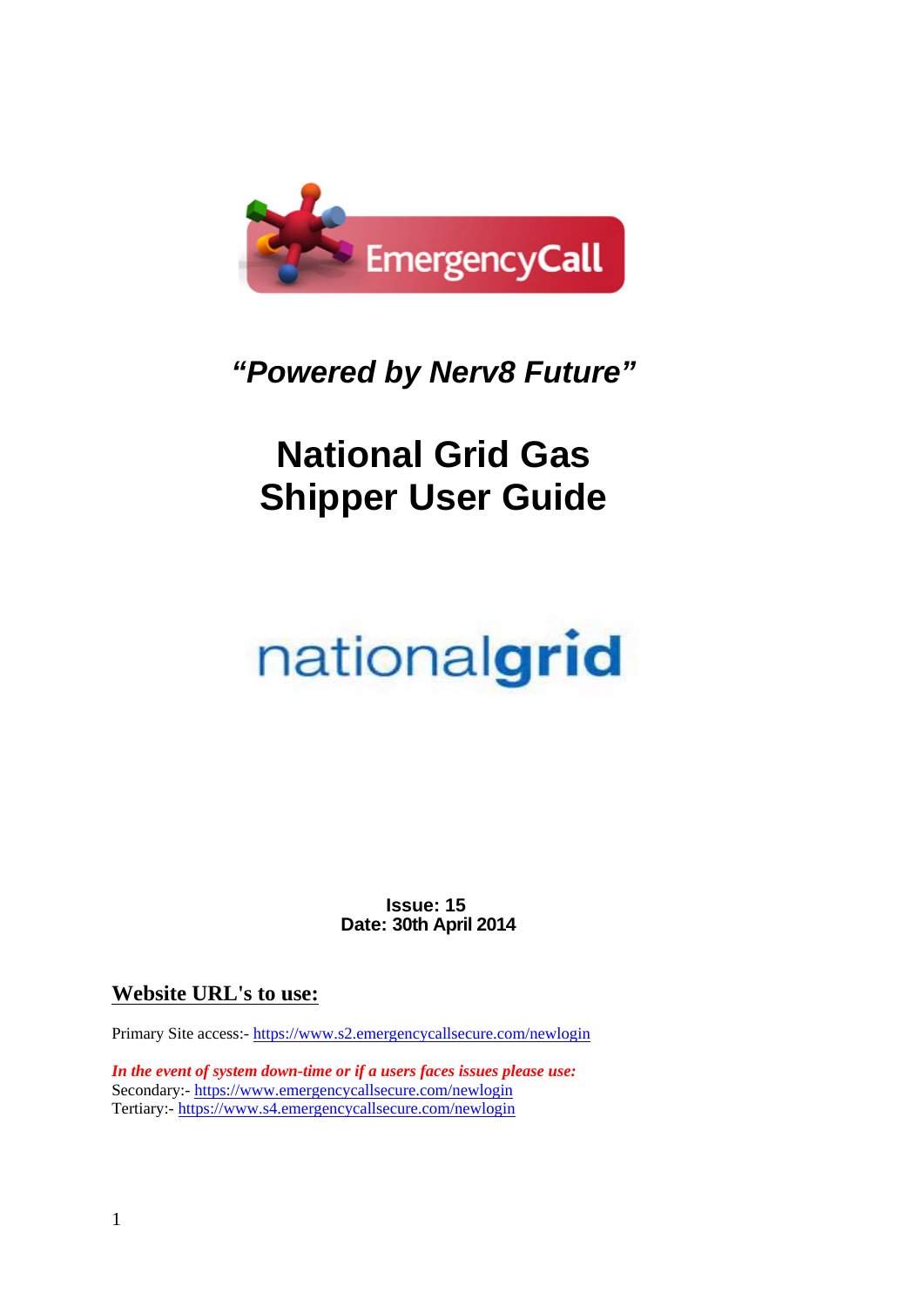

## *"Powered by Nerv8 Future"*

## **National Grid Gas Shipper User Guide**

# nationalgrid

**Issue: 15 Date: 30th April 2014**

## **Website URL's to use:**

Primary Site access:- https://www.s2.emergencycallsecure.com/newlogin

*In the event of system down-time or if a users faces issues please use:* Secondary:- https://www.emergencycallsecure.com/newlogin Tertiary:- https://www.s4.emergencycallsecure.com/newlogin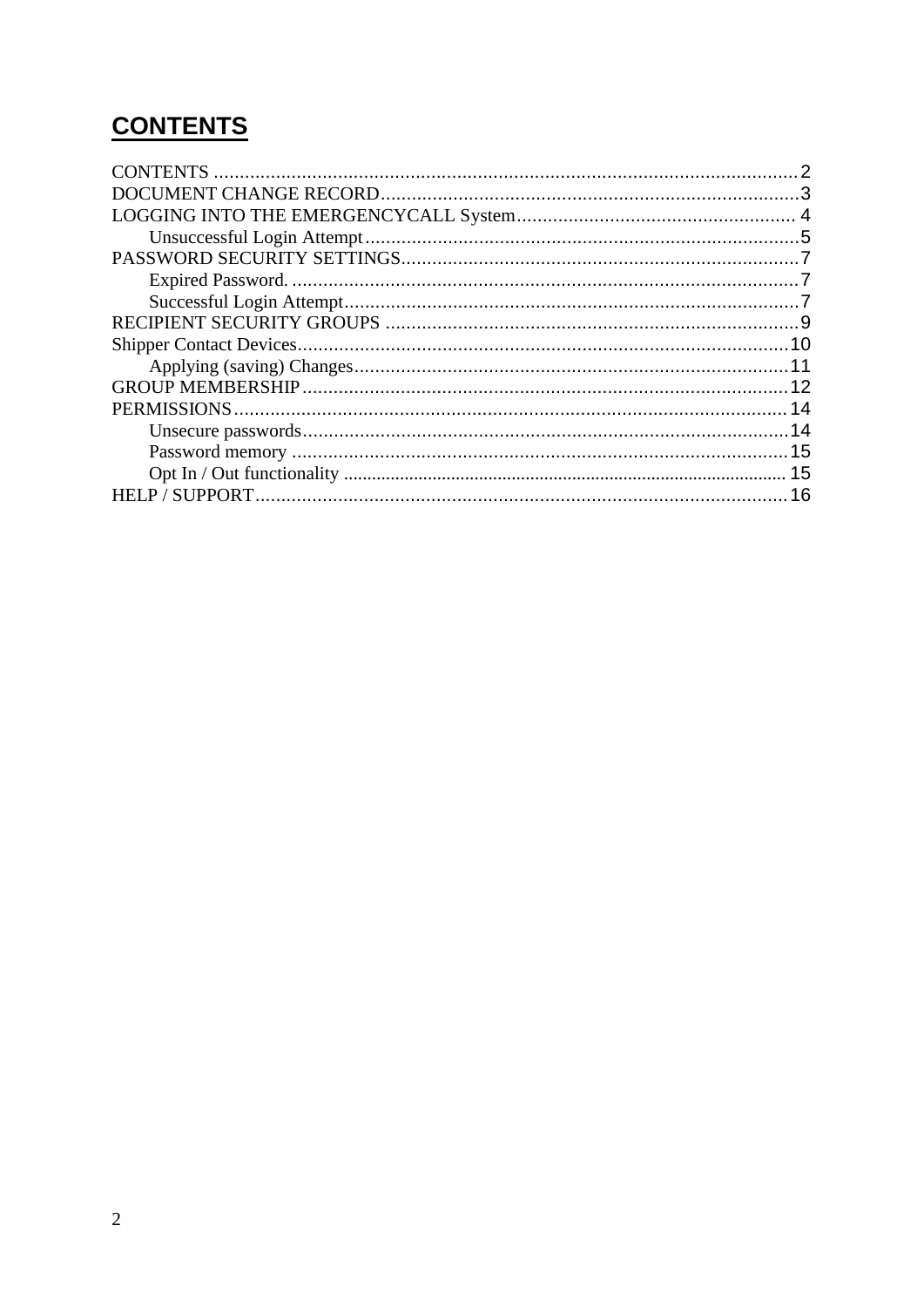## **CONTENTS**

| .14 |
|-----|
|     |
|     |
| 16  |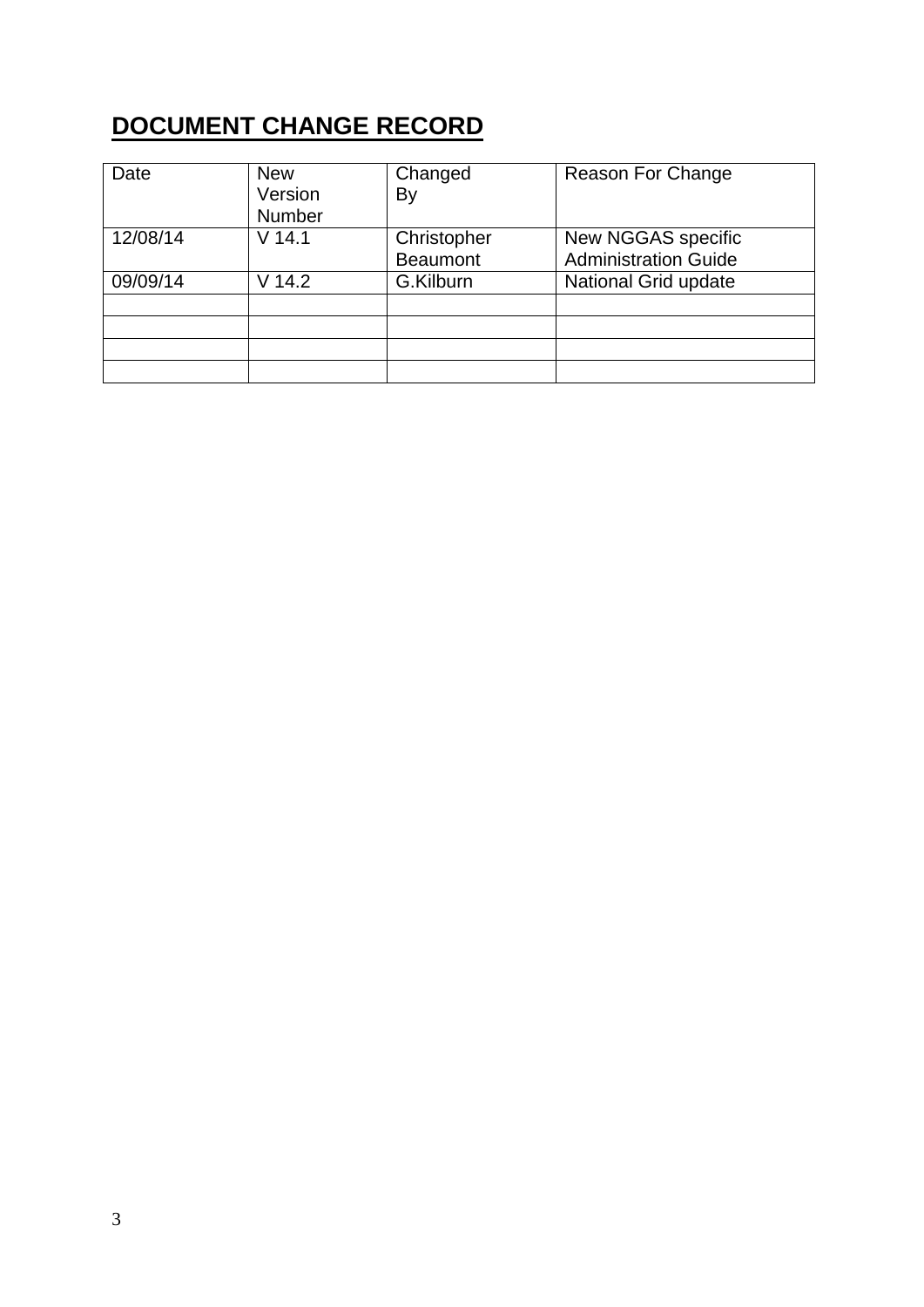## **DOCUMENT CHANGE RECORD**

| Date     | <b>New</b><br>Version<br><b>Number</b> | Changed<br>By                  | Reason For Change                                 |
|----------|----------------------------------------|--------------------------------|---------------------------------------------------|
| 12/08/14 | $V$ 14.1                               | Christopher<br><b>Beaumont</b> | New NGGAS specific<br><b>Administration Guide</b> |
| 09/09/14 | V 14.2                                 | G.Kilburn                      | National Grid update                              |
|          |                                        |                                |                                                   |
|          |                                        |                                |                                                   |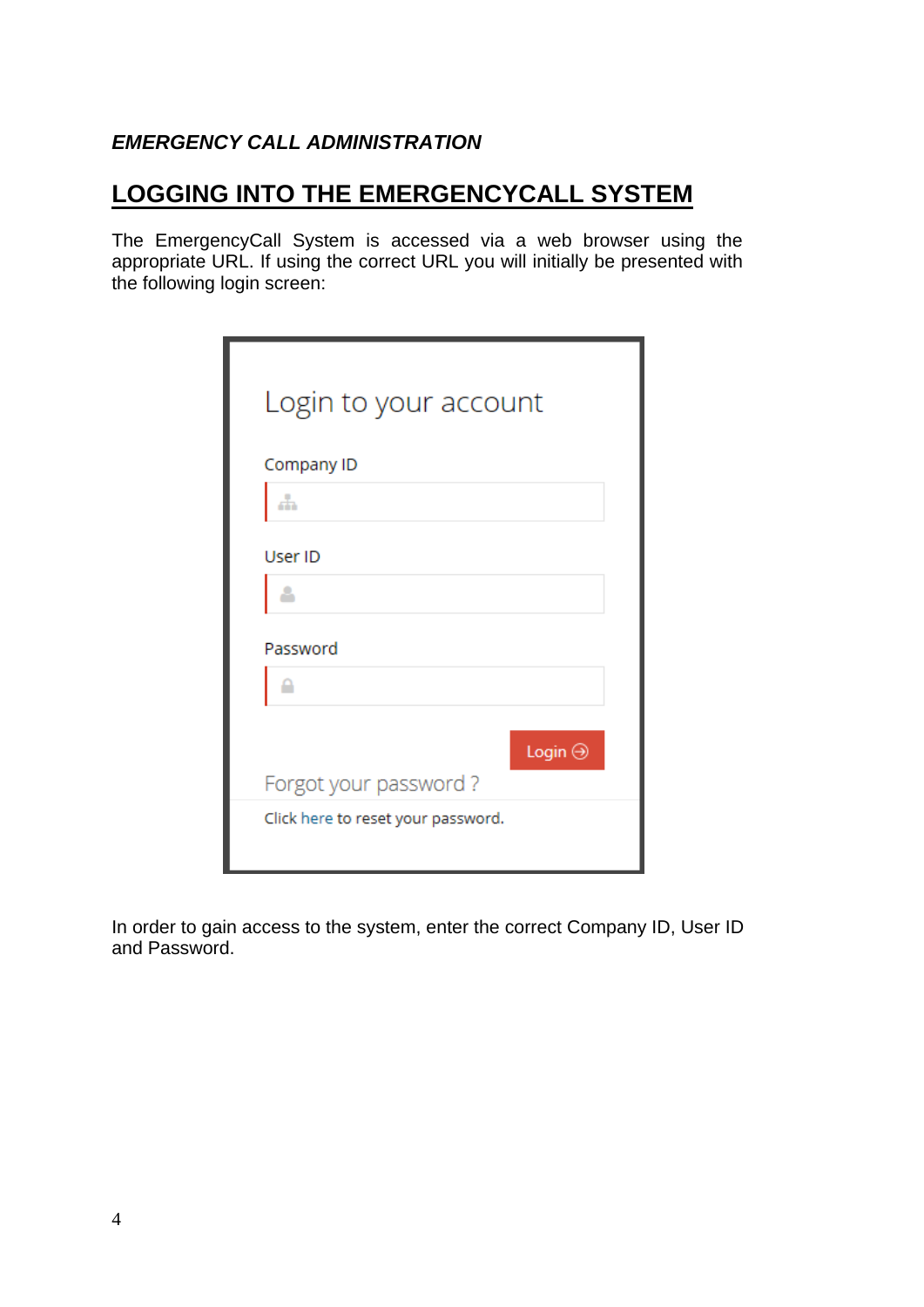#### **EMERGENCY CALL ADMINISTRATION**

## **LOGGING INTO THE EMERGENCYCALL SYSTEM**

The EmergencyCall System is accessed via a web browser using the appropriate URL. If using the correct URL you will initially be presented with the following login screen:

| Login to your account              |  |
|------------------------------------|--|
| Company ID                         |  |
|                                    |  |
| User ID                            |  |
|                                    |  |
| Password                           |  |
|                                    |  |
| Login $\Theta$                     |  |
| Forgot your password?              |  |
| Click here to reset your password. |  |

In order to gain access to the system, enter the correct Company ID, User ID and Password.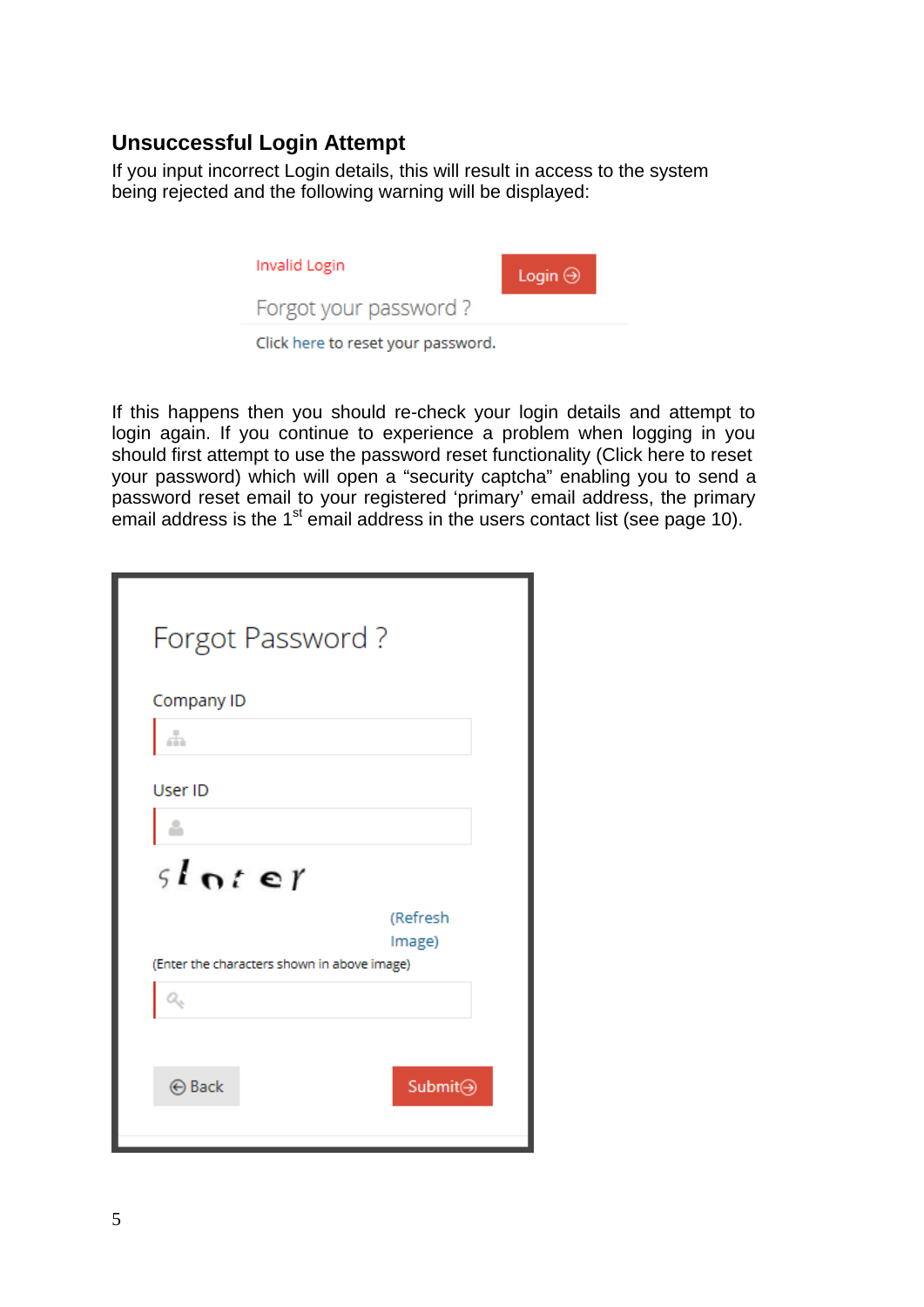## **Unsuccessful Login Attempt**

If you input incorrect Login details, this will result in access to the system being rejected and the following warning will be displayed:



If this happens then you should re-check your login details and attempt to login again. If you continue to experience a problem when logging in you should first attempt to use the password reset functionality (Click here to reset your password) which will open a "security captcha" enabling you to send a password reset email to your registered 'primary' email address, the primary email address is the  $1<sup>st</sup>$  email address in the users contact list (see page 10).

| Forgot Password?                            |                    |
|---------------------------------------------|--------------------|
| Company ID<br>÷                             |                    |
| User ID<br>sloter                           |                    |
| (Enter the characters shown in above image) | (Refresh<br>Image) |
|                                             |                    |
| <b>⊙</b> Back                               | Submit→            |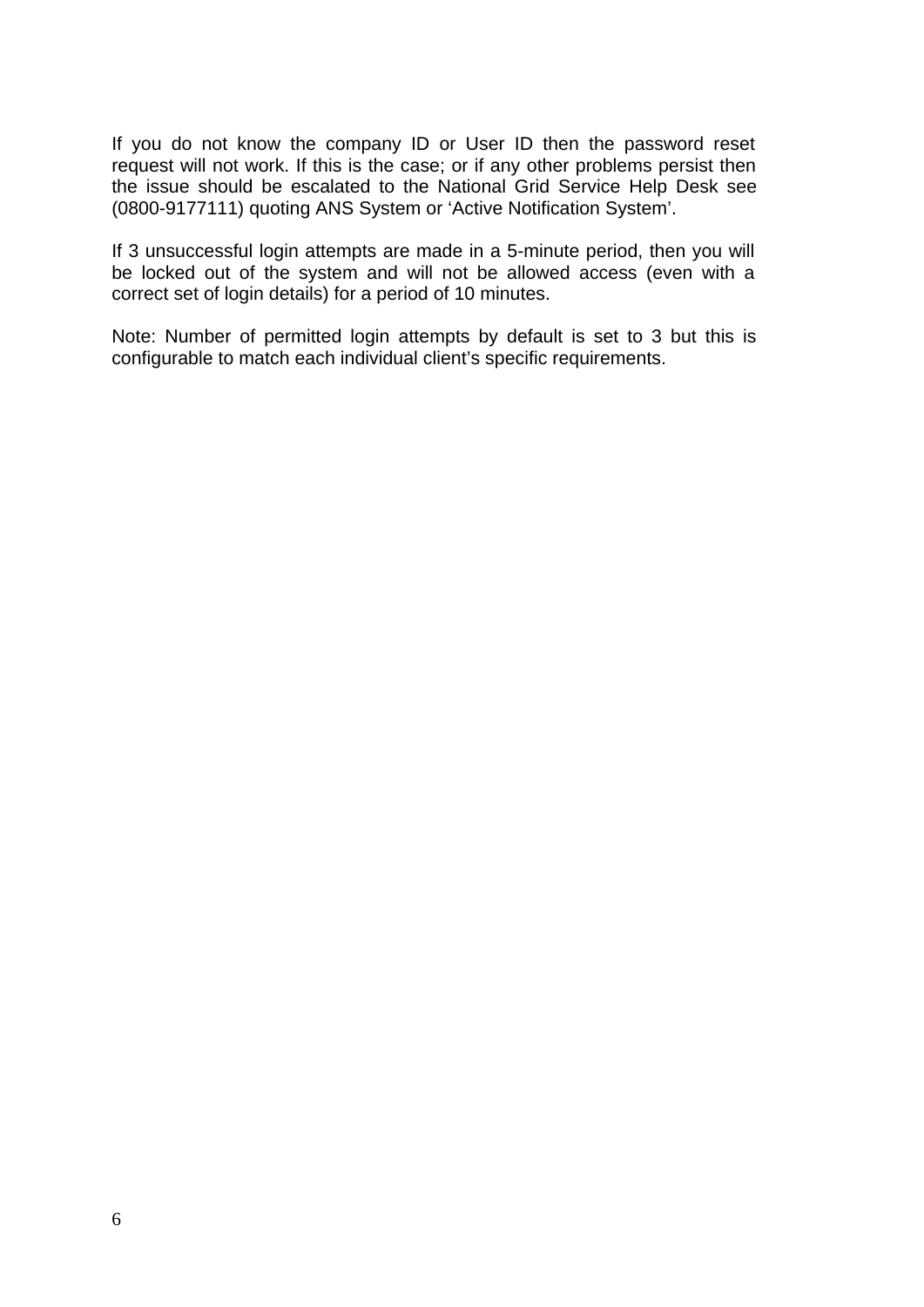If you do not know the company ID or User ID then the password reset request will not work. If this is the case; or if any other problems persist then the issue should be escalated to the National Grid Service Help Desk see (0800-9177111) quoting ANS System or 'Active Notification System'.

If 3 unsuccessful login attempts are made in a 5-minute period, then you will be locked out of the system and will not be allowed access (even with a correct set of login details) for a period of 10 minutes.

Note: Number of permitted login attempts by default is set to 3 but this is configurable to match each individual client's specific requirements.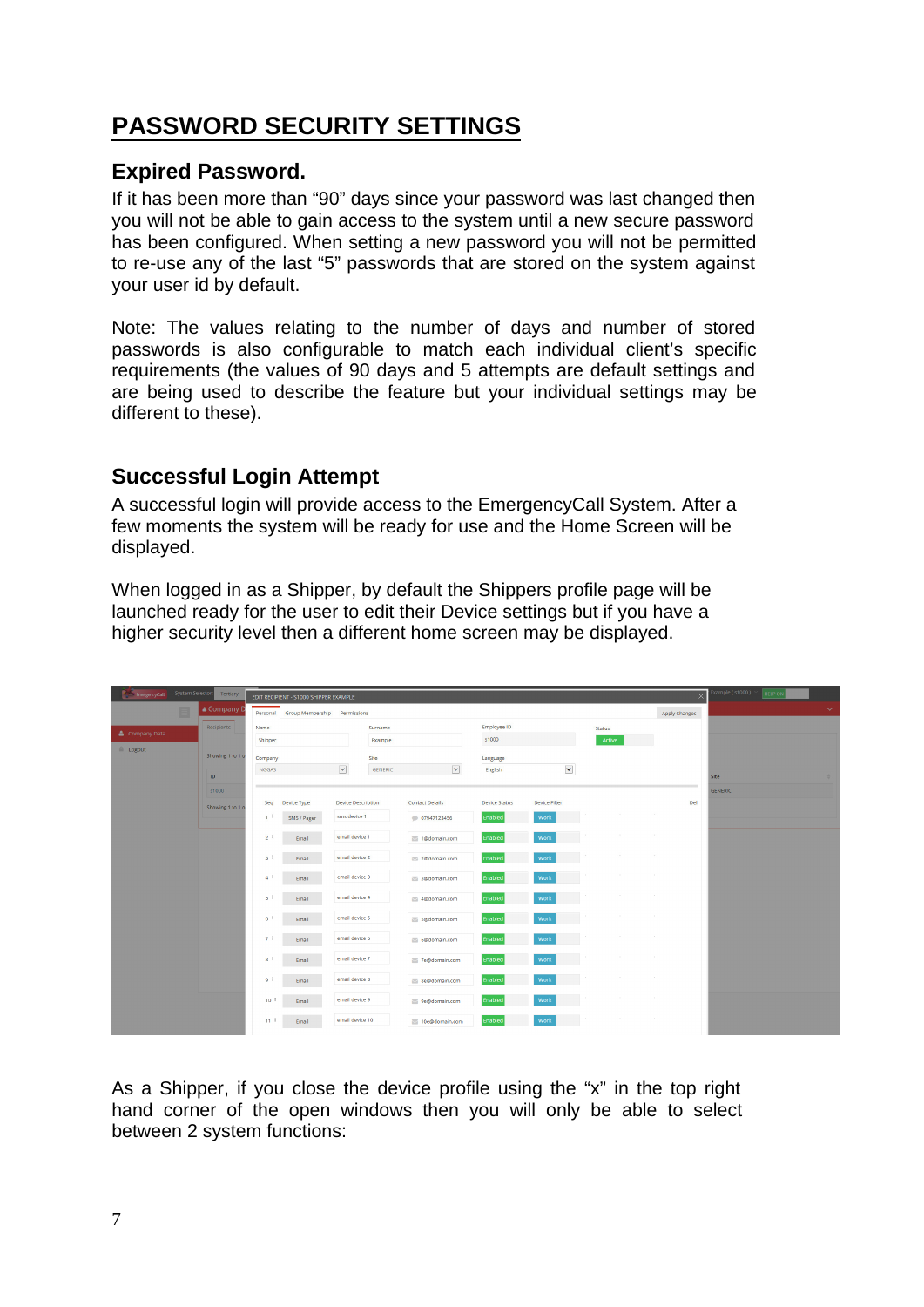## **PASSWORD SECURITY SETTINGS**

## **Expired Password.**

If it has been more than "90" days since your password was last changed then you will not be able to gain access to the system until a new secure password has been configured. When setting a new password you will not be permitted to re-use any of the last "5" passwords that are stored on the system against vour user id by default.

Note: The values relating to the number of days and number of stored passwords is also configurable to match each individual client's specific requirements (the values of 90 days and 5 attempts are default settings and are being used to describe the feature but your individual settings may be different to these).

## **Successful Login Attempt**

A successful login will provide access to the EmergencyCall System. After a few moments the system will be ready for use and the Home Screen will be displayed.

When logged in as a Shipper, by default the Shippers profile page will be launched ready for the user to edit their Device settings but if you have a higher security level then a different home screen may be displayed.

| EmergencyCall System Selector: Tertiary |   |                  |                   | EDIT RECIPIENT - S1000 SHIPPER EXAMPLE |                           |         |                        |                      |                      |               |        |             |                      | Example (s1000)<br><b>HELP ON</b> |  |
|-----------------------------------------|---|------------------|-------------------|----------------------------------------|---------------------------|---------|------------------------|----------------------|----------------------|---------------|--------|-------------|----------------------|-----------------------------------|--|
|                                         | E | & Company I      |                   | Personal Group Membership              | Permissions               |         |                        |                      |                      |               |        |             | <b>Apply Changes</b> |                                   |  |
| Company Data                            |   | Recipients       | Name              |                                        |                           | Surname |                        | Employee ID          |                      | <b>Status</b> |        |             |                      |                                   |  |
| <b>E</b> Logout                         |   |                  | Shipper           |                                        |                           | Example |                        | s1000                |                      |               | Active |             |                      |                                   |  |
|                                         |   | Showing 1 to 1 o | Company           |                                        |                           | Site    |                        | Language             |                      |               |        |             |                      |                                   |  |
|                                         |   | ID.              | <b>NGGAS</b>      |                                        | $\overline{\phantom{a}}$  | GENERIC | $\checkmark$           | English              | $\blacktriangledown$ |               |        |             |                      | Site                              |  |
|                                         |   | s1000            |                   |                                        |                           |         |                        |                      |                      |               |        |             |                      | <b>GENERIC</b>                    |  |
|                                         |   | Showing 1 to 1 o | Seq               | Device Type                            | <b>Device Description</b> |         | <b>Contact Details</b> | <b>Device Status</b> | Device Filter        |               |        |             | Del                  |                                   |  |
|                                         |   |                  | 11                | SMS / Pager                            | sms device 1              |         | 07947123456            | Enabled              | Work                 |               |        | 49.9        |                      |                                   |  |
|                                         |   |                  | 2 <sup>1</sup>    | Email                                  | email device 1            |         | 1@domain.com           | Enabled              | Work                 |               |        |             |                      |                                   |  |
|                                         |   |                  | 3 <sup>1</sup>    | Email                                  | email device 2            |         | 2@domain.com           | Enabled              | Work                 |               |        | n.          |                      |                                   |  |
|                                         |   |                  | 4                 | Email                                  | email device 3            |         | 3@domain.com           | Enabled              | Work                 |               | n.     | <b>COLL</b> |                      |                                   |  |
|                                         |   |                  | $5-1$             | Email                                  | email device 4            |         | 4@domain.com           | Enabled              | Work                 |               |        |             |                      |                                   |  |
|                                         |   |                  | 6 <sup>1</sup>    | Email                                  | email device 5            |         | 5@domain.com           | Enabled              | Work                 |               |        |             |                      |                                   |  |
|                                         |   |                  | 71                | Email                                  | email device 6            |         | 6@domain.com           | Enabled              | Work                 |               |        | <b>COLL</b> |                      |                                   |  |
|                                         |   |                  | $8^{\frac{1}{2}}$ | Email                                  | email device 7            |         | 7e@domain.com          | Enabled              | Work                 |               |        |             |                      |                                   |  |
|                                         |   |                  | ا و               | Email                                  | email device 8            |         | Se@domain.com          | Enabled              | Work                 |               |        |             |                      |                                   |  |
|                                         |   |                  | $10-1$            | Email                                  | email device 9            |         | 9e@domain.com          | Enabled              | Work                 |               |        | $\sim$      |                      |                                   |  |
|                                         |   |                  | $11-1$            | Email                                  | email device 10           |         | 10e@domain.com         | Enabled              | Work                 |               | a.     | n.          |                      |                                   |  |

As a Shipper, if you close the device profile using the "x" in the top right hand corner of the open windows then you will only be able to select between 2 system functions: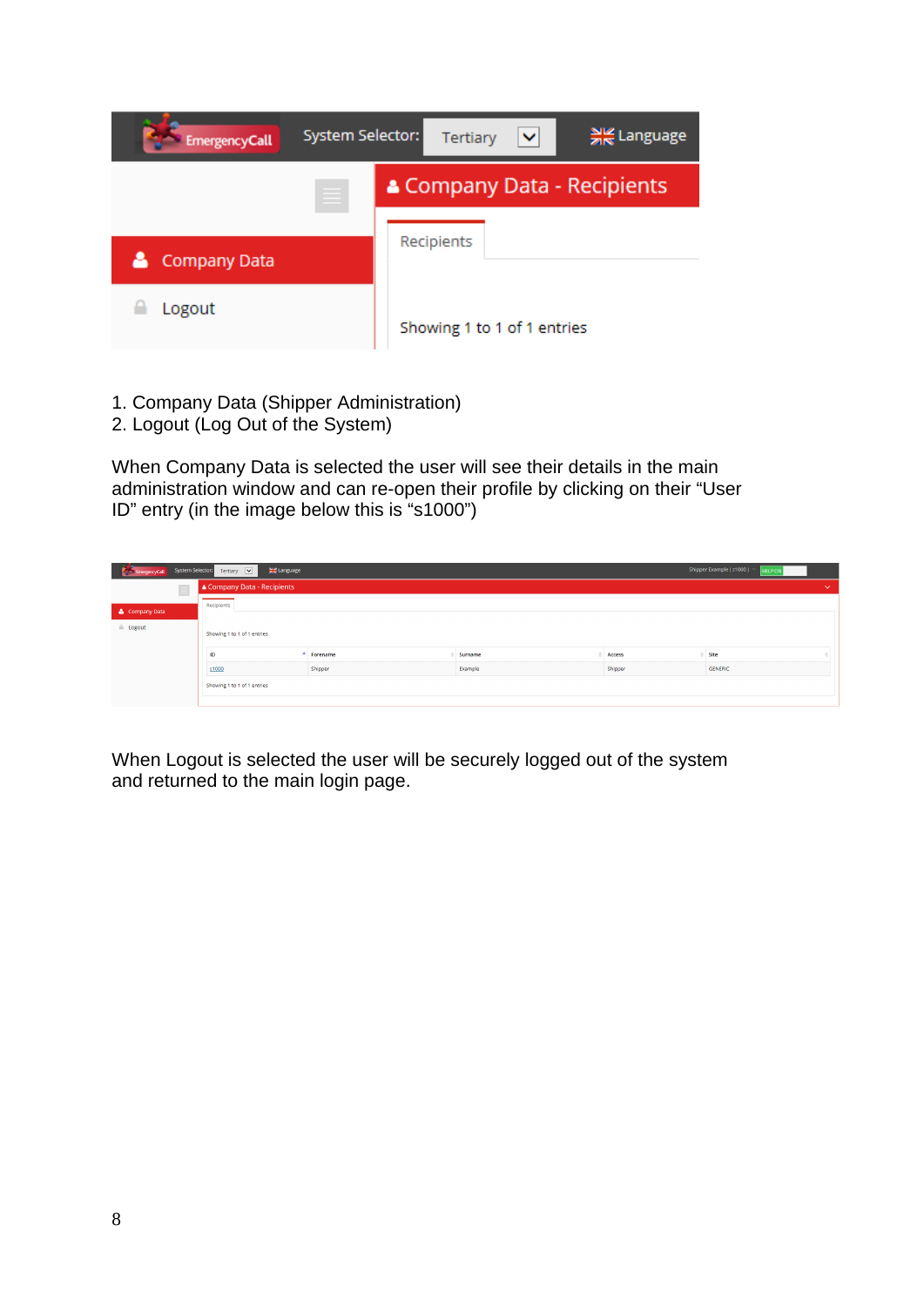

- 1. Company Data (Shipper Administration)
- 2. Logout (Log Out of the System)

When Company Data is selected the user will see their details in the main administration window and can re-open their profile by clicking on their "User ID" entry (in the image below this is "s1000")

|                    | EmergencyCall System Selector: Tertiary V<br>Shipper Example (s1000) ><br><del>계</del> Language<br><b>HELP ON</b> |          |         |        |      |              |  |  |  |  |  |
|--------------------|-------------------------------------------------------------------------------------------------------------------|----------|---------|--------|------|--------------|--|--|--|--|--|
| $\equiv$           | & Company Data - Recipients                                                                                       |          |         |        |      | $\checkmark$ |  |  |  |  |  |
| Company Data       | Recipients                                                                                                        |          |         |        |      |              |  |  |  |  |  |
| $\triangle$ Logout | Showing 1 to 1 of 1 entries                                                                                       |          |         |        |      |              |  |  |  |  |  |
|                    | ID                                                                                                                | Forename | Surname | Access | Site |              |  |  |  |  |  |
|                    | Shipper<br>Shipper<br>Example<br>GENERIC<br>\$1000                                                                |          |         |        |      |              |  |  |  |  |  |
|                    | Showing 1 to 1 of 1 entries                                                                                       |          |         |        |      |              |  |  |  |  |  |

When Logout is selected the user will be securely logged out of the system and returned to the main login page.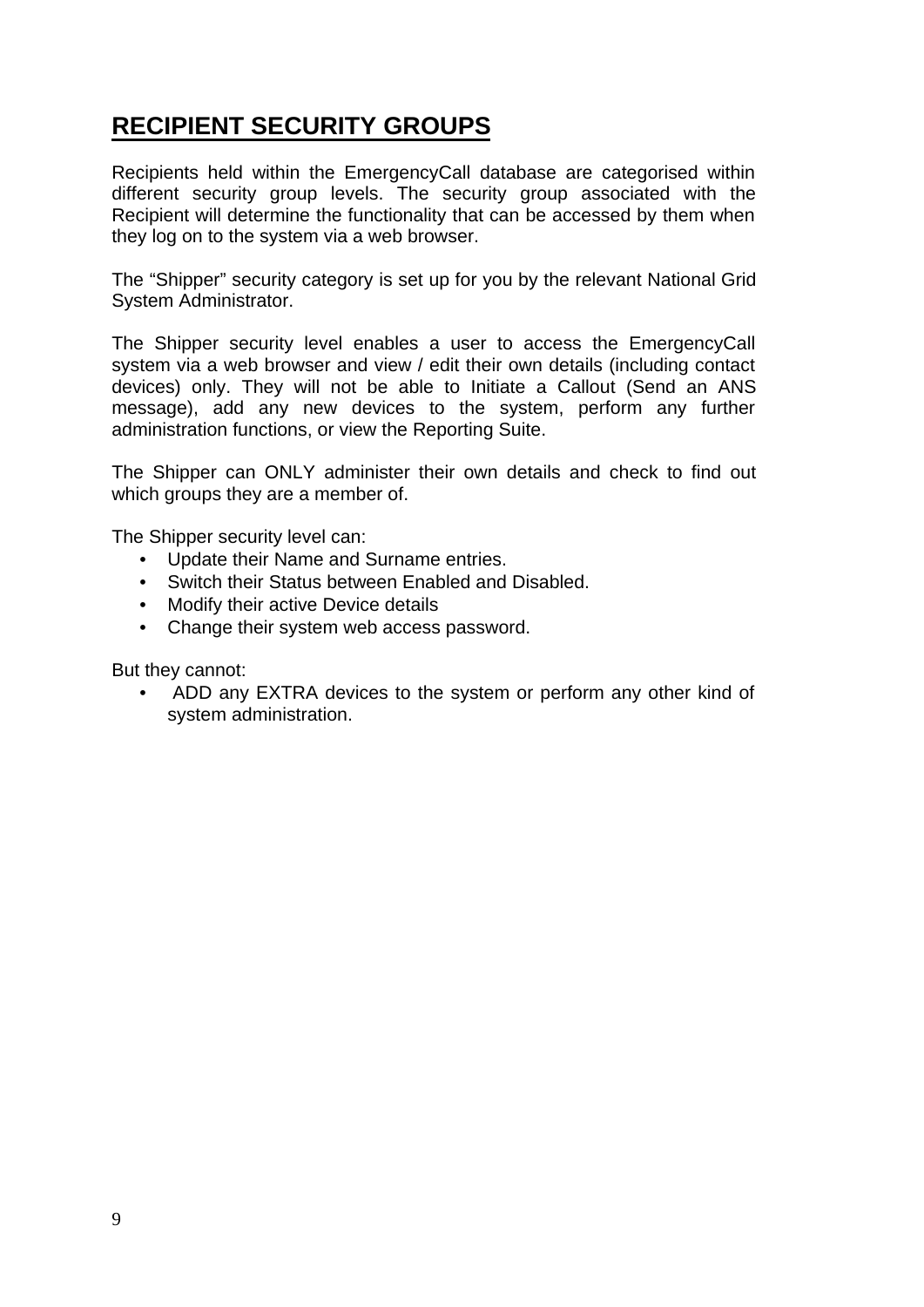## **RECIPIENT SECURITY GROUPS**

Recipients held within the EmergencyCall database are categorised within different security group levels. The security group associated with the Recipient will determine the functionality that can be accessed by them when they log on to the system via a web browser.

The "Shipper" security category is set up for you by the relevant National Grid System Administrator.

The Shipper security level enables a user to access the EmergencyCall system via a web browser and view / edit their own details (including contact devices) only. They will not be able to Initiate a Callout (Send an ANS message), add any new devices to the system, perform any further administration functions, or view the Reporting Suite.

The Shipper can ONLY administer their own details and check to find out which groups they are a member of.

The Shipper security level can:

- Update their Name and Surname entries.
- Switch their Status between Enabled and Disabled.
- Modify their active Device details
- Change their system web access password.

But they cannot:

ADD any EXTRA devices to the system or perform any other kind of  $\bullet$ system administration.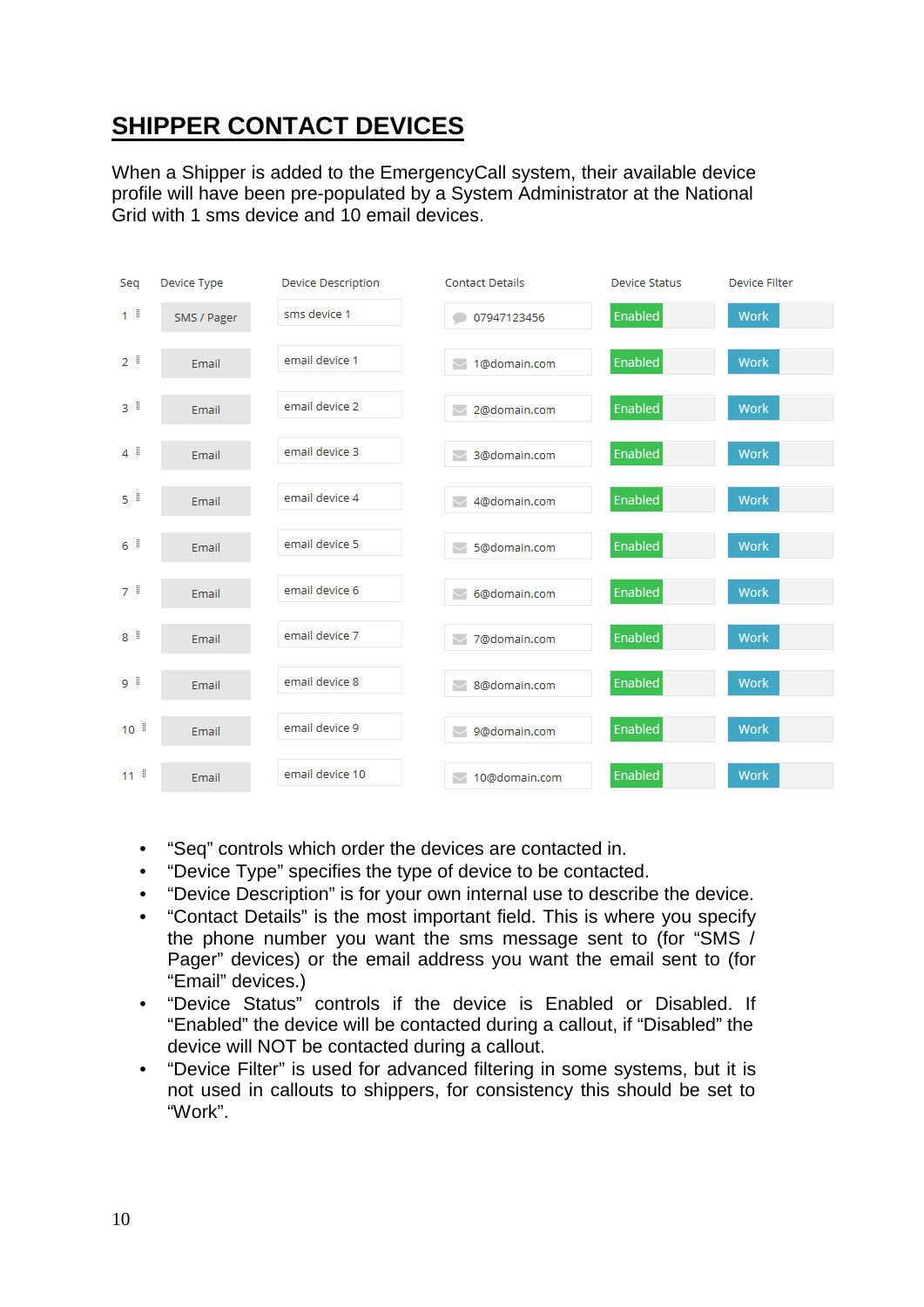## **SHIPPER CONTACT DEVICES**

When a Shipper is added to the Emergency Call system, their available device profile will have been pre-populated by a System Administrator at the National Grid with 1 sms device and 10 email devices



- "Seq" controls which order the devices are contacted in.  $\bullet$
- "Device Type" specifies the type of device to be contacted.
- "Device Description" is for your own internal use to describe the device.  $\bullet$
- "Contact Details" is the most important field. This is where you specify  $\bullet$ the phone number you want the sms message sent to (for "SMS / Pager" devices) or the email address you want the email sent to (for "Email" devices.)
- "Device Status" controls if the device is Enabled or Disabled. If  $\bullet$ "Enabled" the device will be contacted during a callout, if "Disabled" the device will NOT be contacted during a callout.
- "Device Filter" is used for advanced filtering in some systems, but it is  $\bullet$ not used in callouts to shippers, for consistency this should be set to "Work"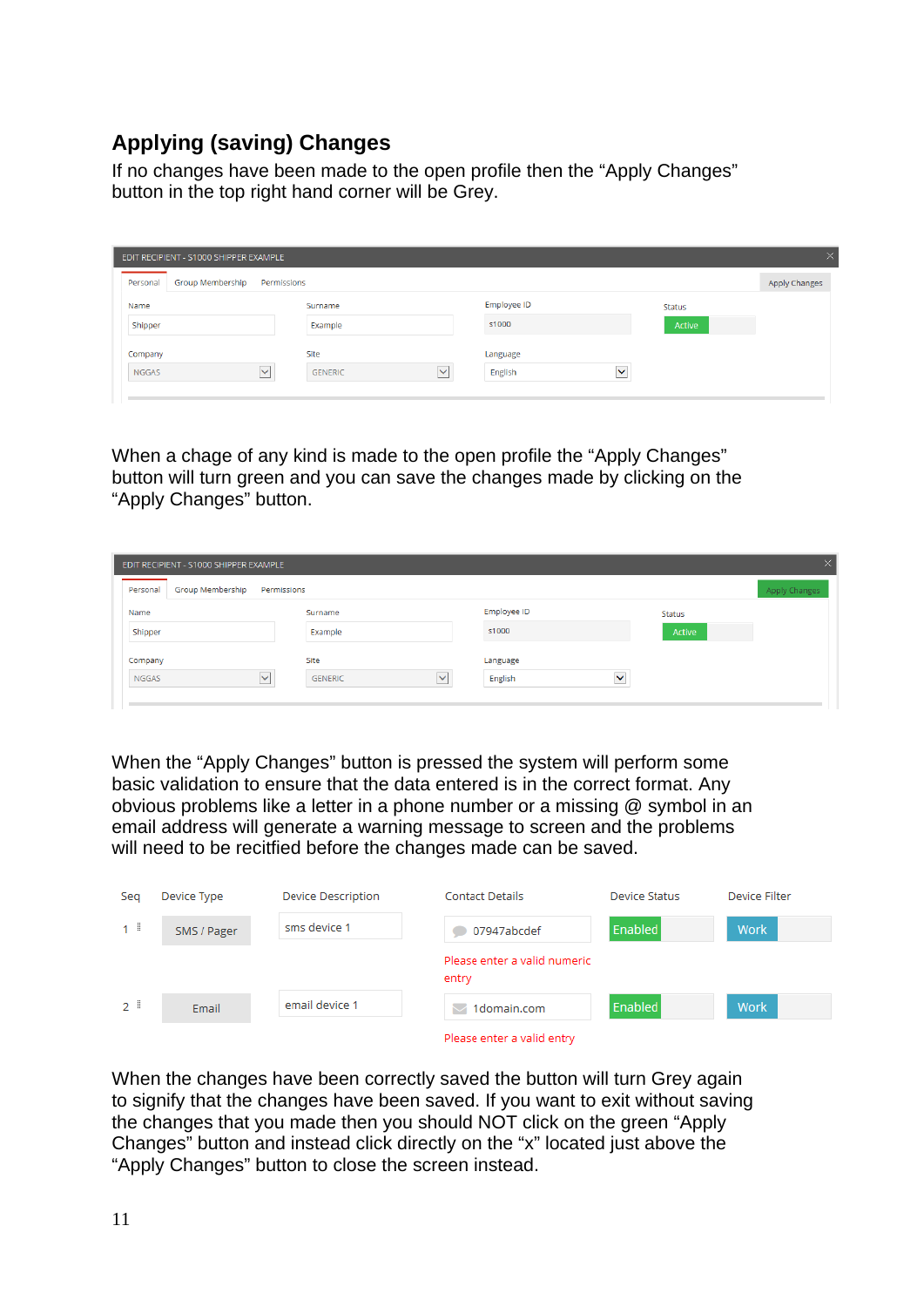## **Applying (saving) Changes**

If no changes have been made to the open profile then the "Apply Changes" button in the top right hand corner will be Grey.

| EDIT RECIPIENT - S1000 SHIPPER EXAMPLE |                          |                         |                               | $\times$             |
|----------------------------------------|--------------------------|-------------------------|-------------------------------|----------------------|
| <b>Group Membership</b><br>Personal    | Permissions              |                         |                               | <b>Apply Changes</b> |
| Name                                   | Surname                  | Employee ID             | Status                        |                      |
| Shipper                                | Example                  | s1000                   | Active                        |                      |
| Company                                | Site                     | Language                |                               |                      |
| <b>NGGAS</b>                           | $\vee$<br><b>GENERIC</b> | $\checkmark$<br>English | --<br>$\overline{\mathsf{v}}$ |                      |
|                                        |                          |                         |                               |                      |

When a chage of any kind is made to the open profile the "Apply Changes" button will turn green and you can save the changes made by clicking on the "Apply Changes" button.

| EDIT RECIPIENT - S1000 SHIPPER EXAMPLE  |                                             |                                                | $\times$      |
|-----------------------------------------|---------------------------------------------|------------------------------------------------|---------------|
| <b>Group Membership</b><br>Personal     | Permissions                                 |                                                | Apply Changes |
| Name                                    | Surname                                     | Employee ID                                    | <b>Status</b> |
| Shipper                                 | Example                                     | s1000                                          | Active        |
| Company<br>$\checkmark$<br><b>NGGAS</b> | Site<br>$\checkmark$<br><b>GENERIC</b><br>_ | Language<br>--<br>$\checkmark$<br>English<br>_ |               |

When the "Apply Changes" button is pressed the system will perform some basic validation to ensure that the data entered is in the correct format. Any obvious problems like a letter in a phone number or a missing @ symbol in an email address will generate a warning message to screen and the problems will need to be recitfied before the changes made can be saved.

| Seg               | Device Type | <b>Device Description</b> | <b>Contact Details</b>                | Device Status  | Device Filter |
|-------------------|-------------|---------------------------|---------------------------------------|----------------|---------------|
| 1 <sup>1</sup>    | SMS / Pager | sms device 1              | 07947abcdef                           | Enabled        | Work          |
|                   |             |                           | Please enter a valid numeric<br>entry |                |               |
| $2^{\frac{1}{2}}$ | Email       | email device 1            | 1domain.com                           | <b>Enabled</b> | Work          |
|                   |             |                           | Please enter a valid entry            |                |               |

When the changes have been correctly saved the button will turn Grey again to signify that the changes have been saved. If you want to exit without saving the changes that you made then you should NOT click on the green "Apply Changes" button and instead click directly on the "x" located just above the "Apply Changes" button to close the screen instead.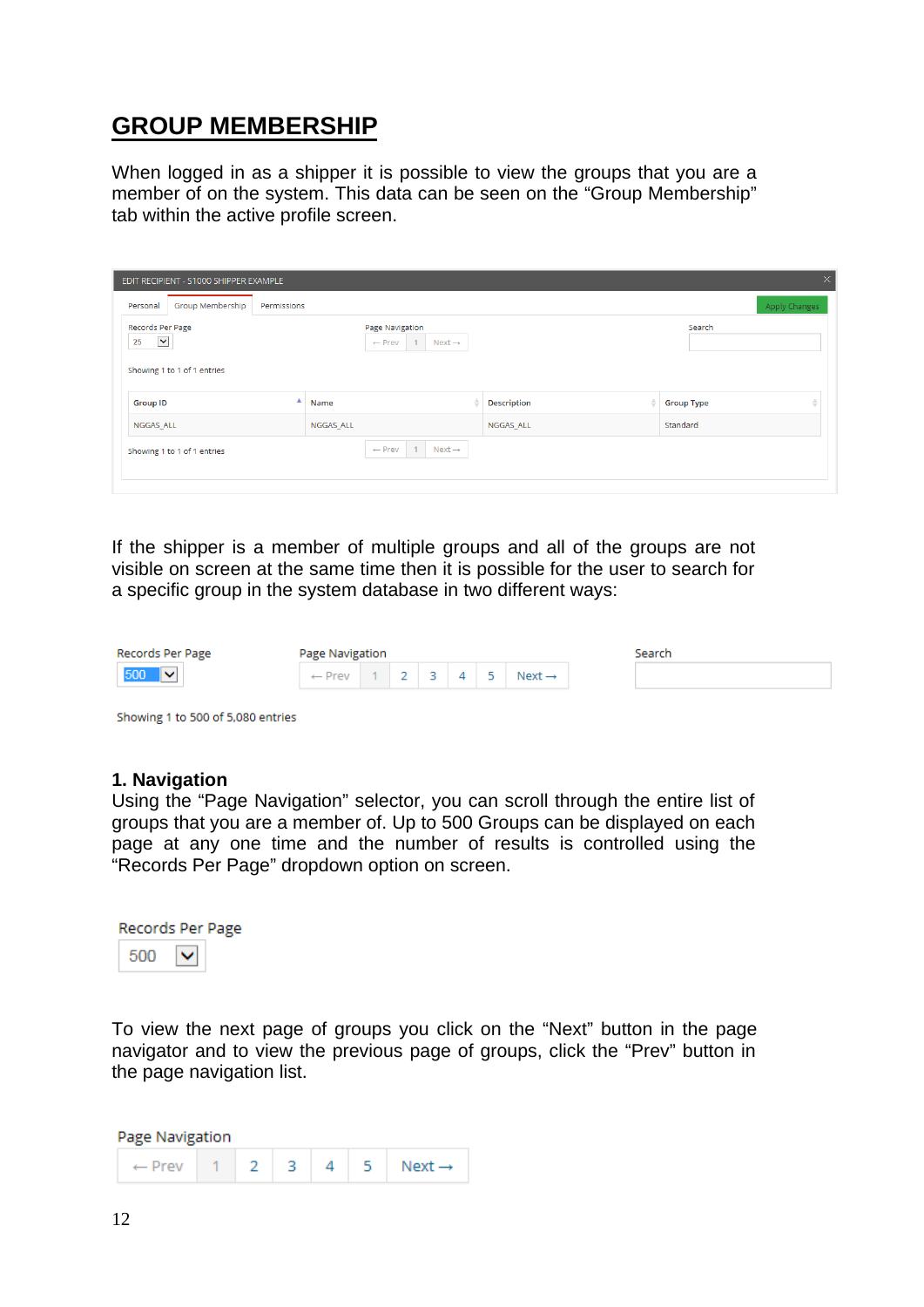## **GROUP MEMBERSHIP**

When logged in as a shipper it is possible to view the groups that you are a member of on the system. This data can be seen on the "Group Membership" tab within the active profile screen.

| $\times$<br>EDIT RECIPIENT - S1000 SHIPPER EXAMPLE                                                                                                         |             |                                                           |  |                    |  |                   |                      |  |  |  |
|------------------------------------------------------------------------------------------------------------------------------------------------------------|-------------|-----------------------------------------------------------|--|--------------------|--|-------------------|----------------------|--|--|--|
| <b>Group Membership</b><br>Personal                                                                                                                        | Permissions |                                                           |  |                    |  |                   | <b>Apply Changes</b> |  |  |  |
| Records Per Page<br>Search<br>Page Navigation<br>$\blacktriangledown$<br>25<br>$\leftarrow$ Prev<br>1<br>$Next \rightarrow$<br>Showing 1 to 1 of 1 entries |             |                                                           |  |                    |  |                   |                      |  |  |  |
| <b>Group ID</b>                                                                                                                                            | ▲           | Name                                                      |  | <b>Description</b> |  | <b>Group Type</b> | ÷                    |  |  |  |
| NGGAS ALL                                                                                                                                                  |             | NGGAS ALL                                                 |  | NGGAS ALL          |  | Standard          |                      |  |  |  |
| Showing 1 to 1 of 1 entries                                                                                                                                |             | $\leftarrow$ Prev<br>$\overline{1}$<br>$Next \rightarrow$ |  |                    |  |                   |                      |  |  |  |

If the shipper is a member of multiple groups and all of the groups are not visible on screen at the same time then it is possible for the user to search for a specific group in the system database in two different ways:

| Records Per Page | Page Navigation             |  |  |                    | Search |
|------------------|-----------------------------|--|--|--------------------|--------|
| 500              | $\leftarrow$ Prev 1 2 3 4 5 |  |  | Next $\rightarrow$ |        |

Showing 1 to 500 of 5,080 entries

#### 1. Navigation

Using the "Page Navigation" selector, you can scroll through the entire list of groups that you are a member of. Up to 500 Groups can be displayed on each page at any one time and the number of results is controlled using the "Records Per Page" dropdown option on screen.

| Records Per Page |  |  |  |  |  |  |  |  |
|------------------|--|--|--|--|--|--|--|--|
| 500              |  |  |  |  |  |  |  |  |

To view the next page of groups you click on the "Next" button in the page navigator and to view the previous page of groups, click the "Prev" button in the page navigation list.

Page Navigation

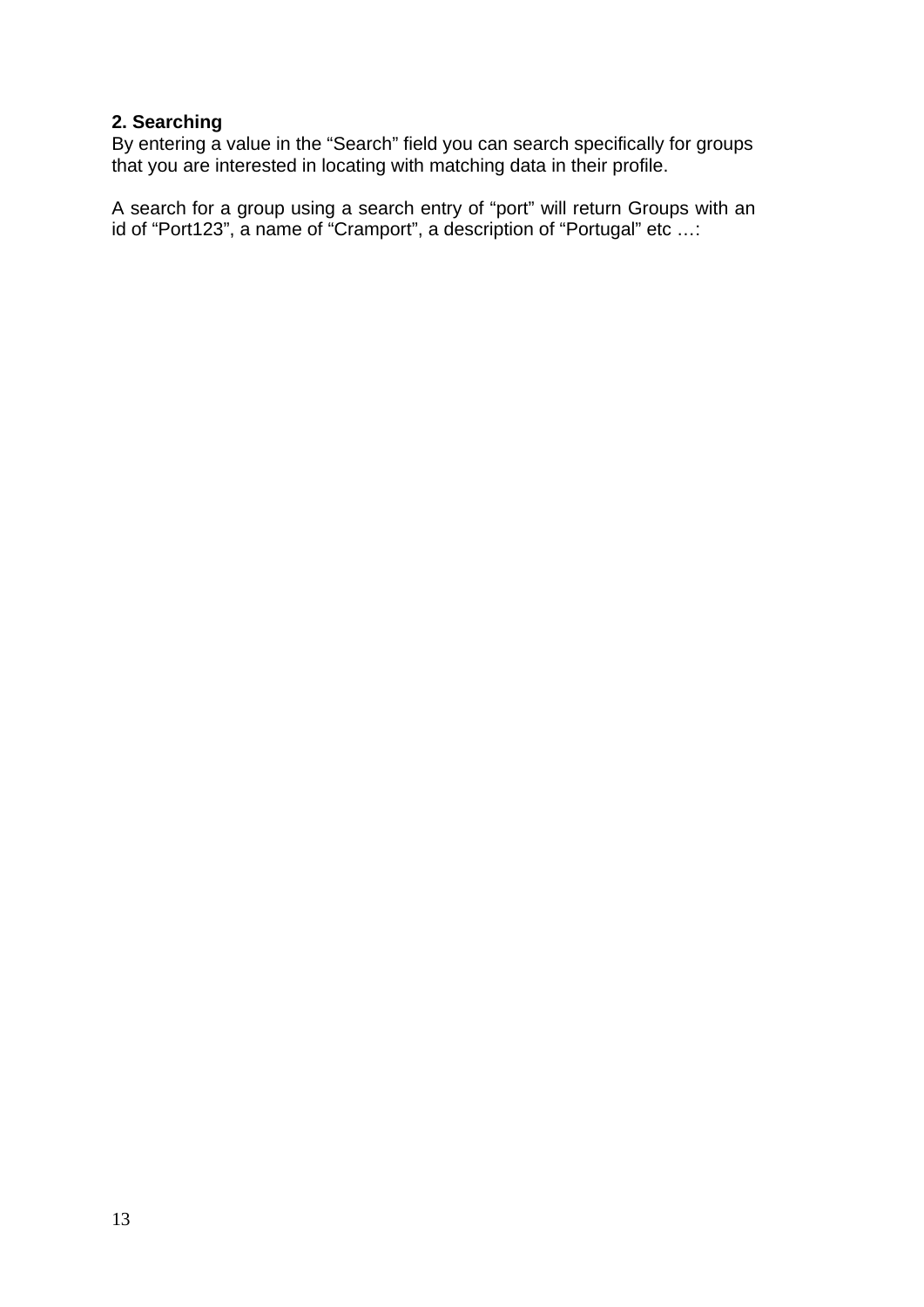#### 2. Searching

By entering a value in the "Search" field you can search specifically for groups that you are interested in locating with matching data in their profile.

A search for a group using a search entry of "port" will return Groups with an id of "Port123", a name of "Cramport", a description of "Portugal" etc ...: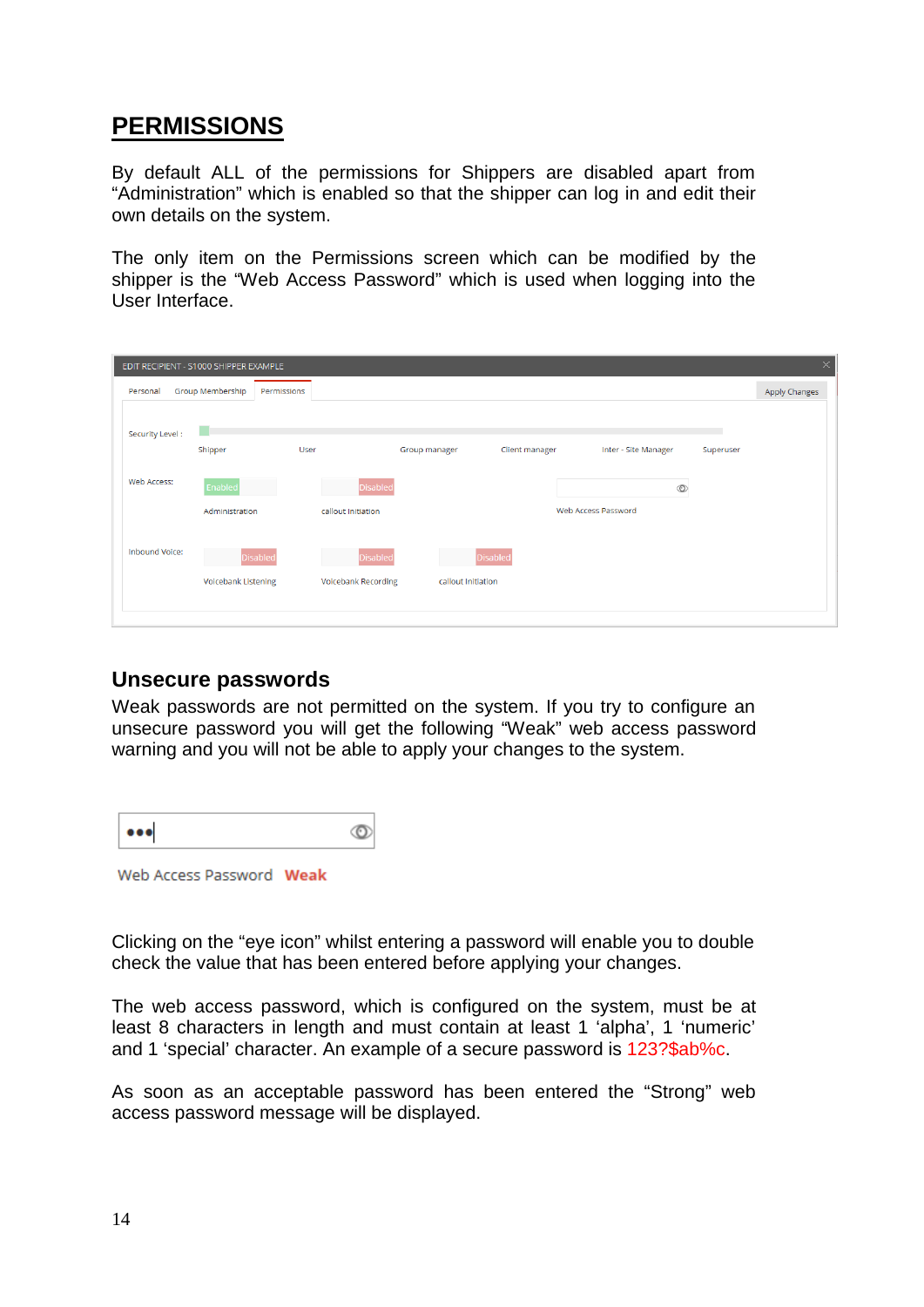## **PERMISSIONS**

By default ALL of the permissions for Shippers are disabled apart from "Administration" which is enabled so that the shipper can log in and edit their own details on the system.

The only item on the Permissions screen which can be modified by the shipper is the "Web Access Password" which is used when logging into the User Interface.

|          | $\times$<br>EDIT RECIPIENT - S1000 SHIPPER EXAMPLE |                            |             |                            |               |                    |                      |           |                      |  |  |  |
|----------|----------------------------------------------------|----------------------------|-------------|----------------------------|---------------|--------------------|----------------------|-----------|----------------------|--|--|--|
| Personal |                                                    | Group Membership           | Permissions |                            |               |                    |                      |           | <b>Apply Changes</b> |  |  |  |
|          |                                                    |                            |             |                            |               |                    |                      |           |                      |  |  |  |
|          | Security Level:                                    | П                          |             |                            |               |                    |                      |           |                      |  |  |  |
|          |                                                    | Shipper                    | User        |                            | Group manager | Client manager     | Inter - Site Manager | Superuser |                      |  |  |  |
|          | Web Access:                                        | Enabled                    |             | <b>Disabled</b>            |               |                    | $\circledcirc$       |           |                      |  |  |  |
|          |                                                    |                            |             |                            |               |                    | Web Access Password  |           |                      |  |  |  |
|          |                                                    | Administration             |             | callout Initiation         |               |                    |                      |           |                      |  |  |  |
|          | Inbound Voice:                                     |                            |             |                            |               |                    |                      |           |                      |  |  |  |
|          |                                                    | <b>Disabled</b>            |             | <b>Disabled</b>            |               | <b>Disabled</b>    |                      |           |                      |  |  |  |
|          |                                                    | <b>Voicebank Listening</b> |             | <b>Voicebank Recording</b> |               | callout Initiation |                      |           |                      |  |  |  |
|          |                                                    |                            |             |                            |               |                    |                      |           |                      |  |  |  |
|          |                                                    |                            |             |                            |               |                    |                      |           |                      |  |  |  |

#### **Unsecure passwords**

Weak passwords are not permitted on the system. If you try to configure an unsecure password you will get the following "Weak" web access password warning and you will not be able to apply your changes to the system.

Web Access Password Weak

Clicking on the "eye icon" whilst entering a password will enable you to double check the value that has been entered before applying your changes.

The web access password, which is configured on the system, must be at least 8 characters in length and must contain at least 1 'alpha'. 1 'numeric' and 1 'special' character. An example of a secure password is 123?\$ab%c.

As soon as an acceptable password has been entered the "Strong" web access password message will be displayed.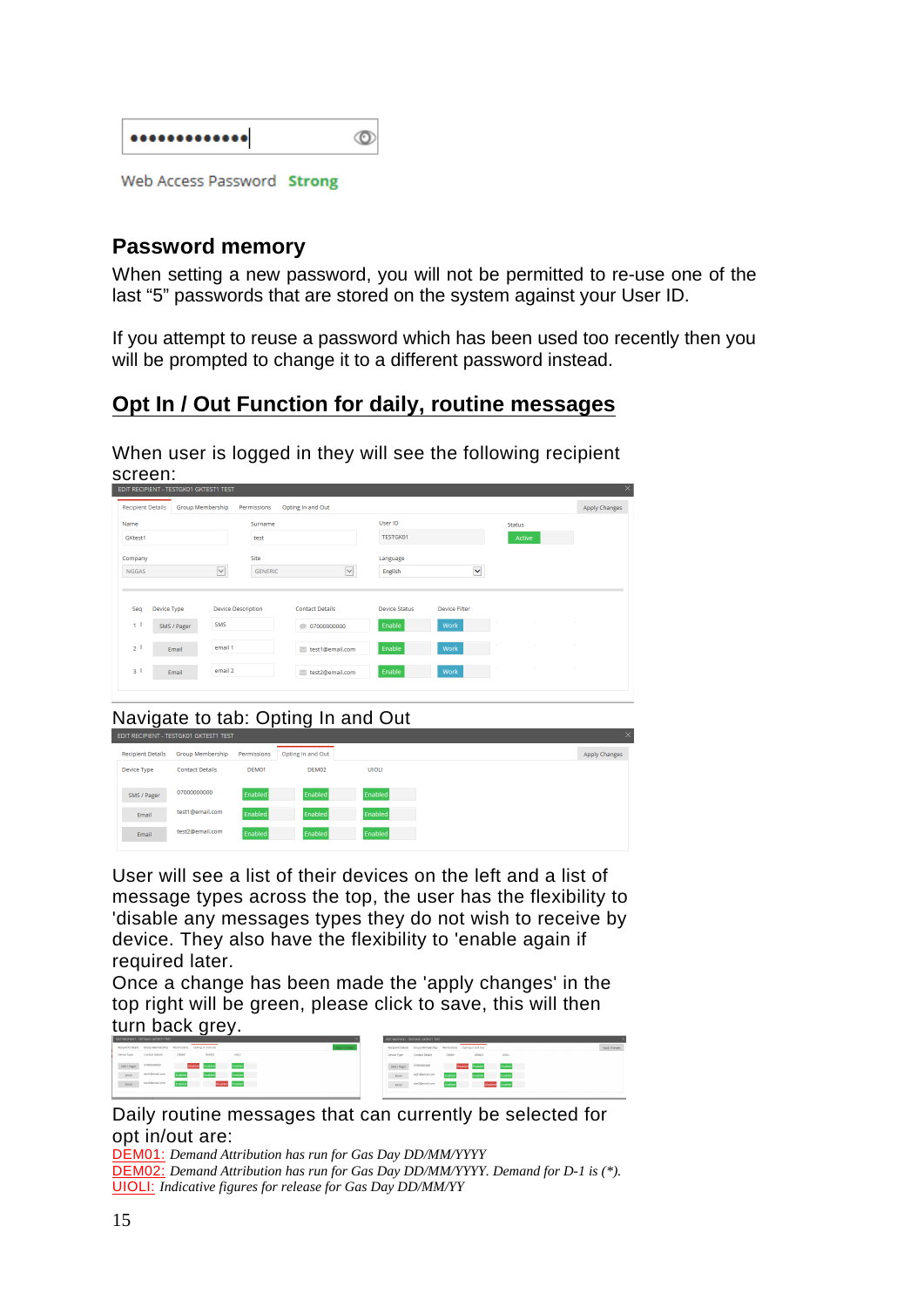| Web Access Password Strong |  |
|----------------------------|--|

#### **Password memory**

When setting a new password, you will not be permitted to re-use one of the last "5" passwords that are stored on the system against your User ID.

If you attempt to reuse a password which has been used too recently then you will be prompted to change it to a different password instead.

## Opt In / Out Function for daily, routine messages

When user is logged in they will see the following recipient screen:

| Name                         |                            |                                  | Surname        |                                                         | User ID                        |                              | <b>Status</b> |  |
|------------------------------|----------------------------|----------------------------------|----------------|---------------------------------------------------------|--------------------------------|------------------------------|---------------|--|
| GKtest1                      |                            |                                  | test           |                                                         | <b>TESTGK01</b>                |                              | Active        |  |
| Company                      |                            |                                  | Site           |                                                         | Language                       |                              |               |  |
| $\checkmark$<br><b>NGGAS</b> |                            |                                  | <b>GENERIC</b> | $\checkmark$                                            | English                        | Y                            |               |  |
|                              |                            |                                  |                |                                                         |                                |                              |               |  |
| Seq<br>1 <sup>1</sup>        | Device Type<br>SMS / Pager | <b>Device Description</b><br>SMS |                | <b>Contact Details</b><br>07000000000<br>$\blacksquare$ | <b>Device Status</b><br>Enable | <b>Device Filter</b><br>Work |               |  |
| 2 <sup>1</sup>               | Email                      | email 1                          |                | test1@email.com                                         | Enable                         | Work                         |               |  |

Navigate to tab: Opting In and Out

| <b>Recipient Details</b> | Group Membership       | Permissions | Opting In and Out |              |
|--------------------------|------------------------|-------------|-------------------|--------------|
| Device Type              | <b>Contact Details</b> | DEM01       | DEM02             | <b>UIOLI</b> |
| SMS / Pager              | 07000000000            | Enabled     | <b>Enabled</b>    | Enabled      |
| Email                    | test1@email.com        | Enabled     | <b>Enabled</b>    | Enabled      |
| Email                    | test2@email.com        | Enabled     | <b>Enabled</b>    | Enabled      |
|                          |                        |             |                   |              |

User will see a list of their devices on the left and a list of message types across the top, the user has the flexibility to 'disable any messages types they do not wish to receive by device. They also have the flexibility to 'enable again if required later.

Once a change has been made the 'apply changes' in the top right will be green, please click to save, this will then turn back grey.

|               | Recipient Details Group Membership Permissions Opting in and Out |         |                         |                  | pply change |             | Recoived Details Group Membership - Permissions - Opting in and Out - |         |                                 |                  |  | Apply Changes |  |
|---------------|------------------------------------------------------------------|---------|-------------------------|------------------|-------------|-------------|-----------------------------------------------------------------------|---------|---------------------------------|------------------|--|---------------|--|
| Design Type   | Contact Details                                                  | DEMOT   | DEM32                   | UKKI             |             | Device Pype | Centert Details                                                       | DEMOT   | DEMO2                           | LICE.            |  |               |  |
| SMS / Fager   | 4700000000                                                       |         | <b>Disabled</b> Enabled | <b>Enabled</b>   |             | SMS / Pater | 0700000000                                                            |         | Disabled Enabled <b>Enabled</b> |                  |  |               |  |
| $_{\rm Coul}$ | testimenations                                                   | Frabind | Erabled                 |                  |             | treet       | testripenal.com                                                       | Enabled | Enabled                         | <b>Fruitied</b>  |  |               |  |
| trui          | test2@email.com                                                  | Enabled |                         | Disabled Enabled |             | total       | test2@email.com                                                       | Enabled |                                 | Disabled Enabled |  |               |  |
|               |                                                                  |         |                         |                  |             |             |                                                                       |         |                                 |                  |  |               |  |

#### Daily routine messages that can currently be selected for opt in/out are:

**DEM01:** Demand Attribution has run for Gas Day DD/MM/YYYY DEM02: Demand Attribution has run for Gas Day DD/MM/YYYY. Demand for D-1 is (\*). **UIOLI:** Indicative figures for release for Gas Day DD/MM/YY